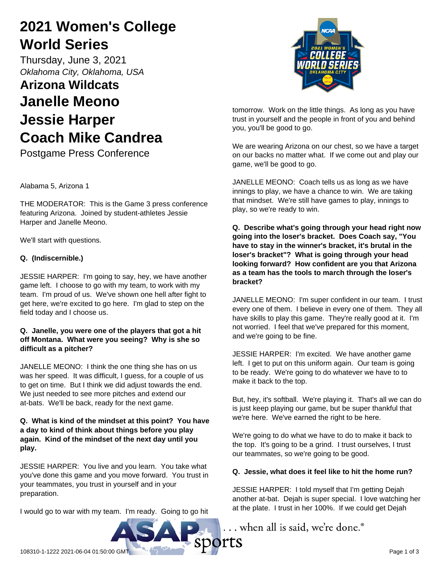# **2021 Women's College World Series**

Thursday, June 3, 2021 *Oklahoma City, Oklahoma, USA*

# **Arizona Wildcats Janelle Meono Jessie Harper Coach Mike Candrea**

Postgame Press Conference

Alabama 5, Arizona 1

THE MODERATOR: This is the Game 3 press conference featuring Arizona. Joined by student-athletes Jessie Harper and Janelle Meono.

We'll start with questions.

## **Q. (Indiscernible.)**

JESSIE HARPER: I'm going to say, hey, we have another game left. I choose to go with my team, to work with my team. I'm proud of us. We've shown one hell after fight to get here, we're excited to go here. I'm glad to step on the field today and I choose us.

## **Q. Janelle, you were one of the players that got a hit off Montana. What were you seeing? Why is she so difficult as a pitcher?**

JANELLE MEONO: I think the one thing she has on us was her speed. It was difficult, I guess, for a couple of us to get on time. But I think we did adjust towards the end. We just needed to see more pitches and extend our at-bats. We'll be back, ready for the next game.

## **Q. What is kind of the mindset at this point? You have a day to kind of think about things before you play again. Kind of the mindset of the next day until you play.**

JESSIE HARPER: You live and you learn. You take what you've done this game and you move forward. You trust in your teammates, you trust in yourself and in your preparation.

I would go to war with my team. I'm ready. Going to go hit



tomorrow. Work on the little things. As long as you have trust in yourself and the people in front of you and behind you, you'll be good to go.

We are wearing Arizona on our chest, so we have a target on our backs no matter what. If we come out and play our game, we'll be good to go.

JANELLE MEONO: Coach tells us as long as we have innings to play, we have a chance to win. We are taking that mindset. We're still have games to play, innings to play, so we're ready to win.

**Q. Describe what's going through your head right now going into the loser's bracket. Does Coach say, "You have to stay in the winner's bracket, it's brutal in the loser's bracket"? What is going through your head looking forward? How confident are you that Arizona as a team has the tools to march through the loser's bracket?**

JANELLE MEONO: I'm super confident in our team. I trust every one of them. I believe in every one of them. They all have skills to play this game. They're really good at it. I'm not worried. I feel that we've prepared for this moment, and we're going to be fine.

JESSIE HARPER: I'm excited. We have another game left. I get to put on this uniform again. Our team is going to be ready. We're going to do whatever we have to to make it back to the top.

But, hey, it's softball. We're playing it. That's all we can do is just keep playing our game, but be super thankful that we're here. We've earned the right to be here.

We're going to do what we have to do to make it back to the top. It's going to be a grind. I trust ourselves, I trust our teammates, so we're going to be good.

## **Q. Jessie, what does it feel like to hit the home run?**

JESSIE HARPER: I told myself that I'm getting Dejah another at-bat. Dejah is super special. I love watching her at the plate. I trust in her 100%. If we could get Dejah

.. when all is said, we're done.®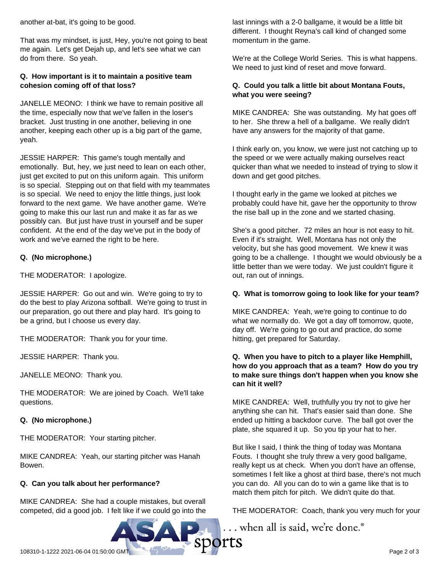another at-bat, it's going to be good.

That was my mindset, is just, Hey, you're not going to beat me again. Let's get Dejah up, and let's see what we can do from there. So yeah.

## **Q. How important is it to maintain a positive team cohesion coming off of that loss?**

JANELLE MEONO: I think we have to remain positive all the time, especially now that we've fallen in the loser's bracket. Just trusting in one another, believing in one another, keeping each other up is a big part of the game, yeah.

JESSIE HARPER: This game's tough mentally and emotionally. But, hey, we just need to lean on each other, just get excited to put on this uniform again. This uniform is so special. Stepping out on that field with my teammates is so special. We need to enjoy the little things, just look forward to the next game. We have another game. We're going to make this our last run and make it as far as we possibly can. But just have trust in yourself and be super confident. At the end of the day we've put in the body of work and we've earned the right to be here.

## **Q. (No microphone.)**

THE MODERATOR: I apologize.

JESSIE HARPER: Go out and win. We're going to try to do the best to play Arizona softball. We're going to trust in our preparation, go out there and play hard. It's going to be a grind, but I choose us every day.

THE MODERATOR: Thank you for your time.

JESSIE HARPER: Thank you.

JANELLE MEONO: Thank you.

THE MODERATOR: We are joined by Coach. We'll take questions.

## **Q. (No microphone.)**

THE MODERATOR: Your starting pitcher.

MIKE CANDREA: Yeah, our starting pitcher was Hanah Bowen.

## **Q. Can you talk about her performance?**

MIKE CANDREA: She had a couple mistakes, but overall competed, did a good job. I felt like if we could go into the last innings with a 2-0 ballgame, it would be a little bit different. I thought Reyna's call kind of changed some momentum in the game.

We're at the College World Series. This is what happens. We need to just kind of reset and move forward.

## **Q. Could you talk a little bit about Montana Fouts, what you were seeing?**

MIKE CANDREA: She was outstanding. My hat goes off to her. She threw a hell of a ballgame. We really didn't have any answers for the majority of that game.

I think early on, you know, we were just not catching up to the speed or we were actually making ourselves react quicker than what we needed to instead of trying to slow it down and get good pitches.

I thought early in the game we looked at pitches we probably could have hit, gave her the opportunity to throw the rise ball up in the zone and we started chasing.

She's a good pitcher. 72 miles an hour is not easy to hit. Even if it's straight. Well, Montana has not only the velocity, but she has good movement. We knew it was going to be a challenge. I thought we would obviously be a little better than we were today. We just couldn't figure it out, ran out of innings.

## **Q. What is tomorrow going to look like for your team?**

MIKE CANDREA: Yeah, we're going to continue to do what we normally do. We got a day off tomorrow, quote, day off. We're going to go out and practice, do some hitting, get prepared for Saturday.

## **Q. When you have to pitch to a player like Hemphill, how do you approach that as a team? How do you try to make sure things don't happen when you know she can hit it well?**

MIKE CANDREA: Well, truthfully you try not to give her anything she can hit. That's easier said than done. She ended up hitting a backdoor curve. The ball got over the plate, she squared it up. So you tip your hat to her.

But like I said, I think the thing of today was Montana Fouts. I thought she truly threw a very good ballgame, really kept us at check. When you don't have an offense, sometimes I felt like a ghost at third base, there's not much you can do. All you can do to win a game like that is to match them pitch for pitch. We didn't quite do that.

THE MODERATOR: Coach, thank you very much for your

... when all is said, we're done.®